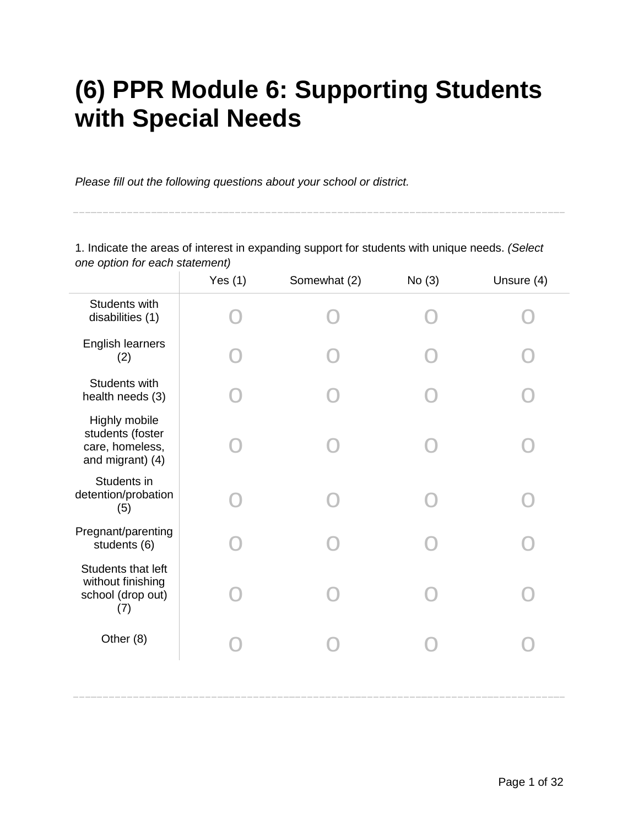# **(6) PPR Module 6: Supporting Students with Special Needs**

*Please fill out the following questions about your school or district.*

1. Indicate the areas of interest in expanding support for students with unique needs. *(Select one option for each statement)*

|                                                                          | Yes $(1)$ | Somewhat (2) | No(3) | Unsure (4) |
|--------------------------------------------------------------------------|-----------|--------------|-------|------------|
| Students with<br>disabilities (1)                                        |           |              |       |            |
| English learners<br>(2)                                                  |           |              |       |            |
| Students with<br>health needs (3)                                        |           |              |       |            |
| Highly mobile<br>students (foster<br>care, homeless,<br>and migrant) (4) |           |              |       |            |
| Students in<br>detention/probation<br>(5)                                |           |              |       |            |
| Pregnant/parenting<br>students (6)                                       |           |              |       |            |
| Students that left<br>without finishing<br>school (drop out)<br>(7)      |           |              |       |            |
| Other (8)                                                                |           |              |       |            |
|                                                                          |           |              |       |            |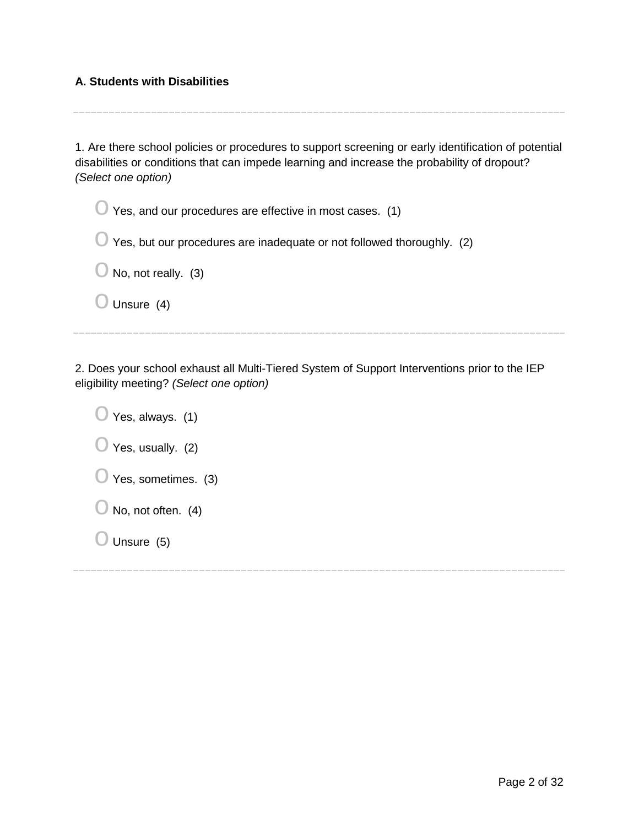## **A. Students with Disabilities**

| 1. Are there school policies or procedures to support screening or early identification of potential<br>disabilities or conditions that can impede learning and increase the probability of dropout?<br>(Select one option) |
|-----------------------------------------------------------------------------------------------------------------------------------------------------------------------------------------------------------------------------|
| Yes, and our procedures are effective in most cases. (1)                                                                                                                                                                    |
| Yes, but our procedures are inadequate or not followed thoroughly. (2)                                                                                                                                                      |
| No, not really. (3)                                                                                                                                                                                                         |
| Unsure $(4)$                                                                                                                                                                                                                |
|                                                                                                                                                                                                                             |

2. Does your school exhaust all Multi-Tiered System of Support Interventions prior to the IEP eligibility meeting? *(Select one option)*

 $\bigcirc$  Yes, always. (1)  $\bigcirc$  Yes, usually. (2)  $\bigcirc$  Yes, sometimes. (3)  $\bigcirc$  No, not often. (4)

 $\bigcirc$  Unsure (5)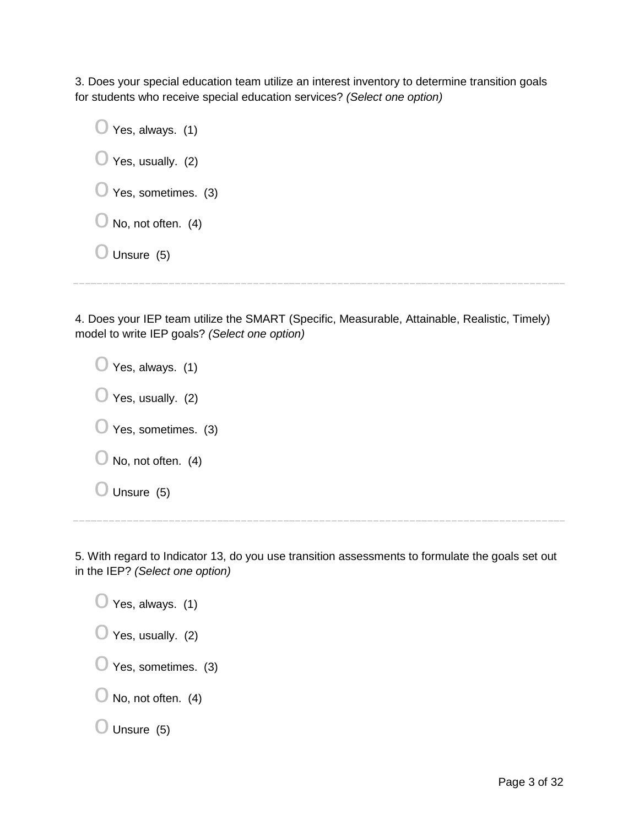3. Does your special education team utilize an interest inventory to determine transition goals for students who receive special education services? *(Select one option)*

| Yes, always. (1)<br>$\cup$    |  |
|-------------------------------|--|
| Yes, usually. (2)<br>U        |  |
| Yes, sometimes. (3)<br>U      |  |
| $\bigcirc$ No, not often. (4) |  |
| Unsure (5)                    |  |
|                               |  |

4. Does your IEP team utilize the SMART (Specific, Measurable, Attainable, Realistic, Timely) model to write IEP goals? *(Select one option)*

 $\bigcirc$  Yes, always. (1)  $\bigcirc$  Yes, usually. (2)  $\bigcirc$  Yes, sometimes. (3)  $\bigcirc$  No, not often. (4)  $\bigcirc$  Unsure (5)

5. With regard to Indicator 13, do you use transition assessments to formulate the goals set out in the IEP? *(Select one option)*

| $\bigcirc$ Yes, always. (1)    |
|--------------------------------|
| $\bigcirc$ Yes, usually. (2)   |
| $\bigcirc$ Yes, sometimes. (3) |
| $\bigcirc$ No, not often. (4)  |
| $\bigcirc$ Unsure (5)          |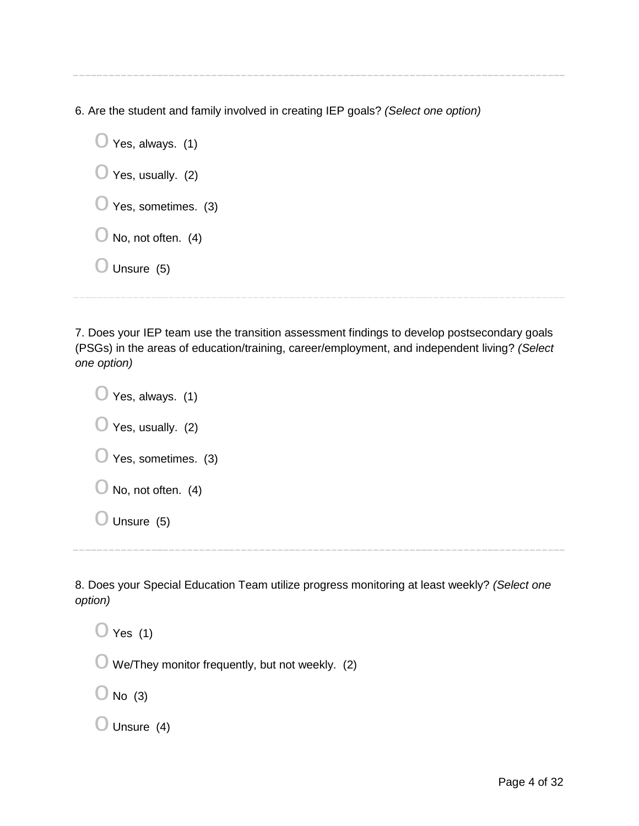6. Are the student and family involved in creating IEP goals? *(Select one option)*

 $\bigcirc$  Yes, always. (1)  $\bigcirc$  Yes, usually. (2)  $\bigcirc$  Yes, sometimes. (3)  $\bigcirc$  No, not often. (4)  $\bigcirc$  Unsure (5)

7. Does your IEP team use the transition assessment findings to develop postsecondary goals (PSGs) in the areas of education/training, career/employment, and independent living? *(Select one option)*

 $\bigcirc$  Yes, always. (1)  $\bigcirc$  Yes, usually. (2)  $\bigcirc$  Yes, sometimes. (3)  $\bigcirc$  No, not often. (4)  $\bigcirc$  Unsure (5)

8. Does your Special Education Team utilize progress monitoring at least weekly? *(Select one option)*

 $\bigcirc$  Yes (1)  $\bigcirc$  We/They monitor frequently, but not weekly. (2)  $\bigcirc$  No (3)  $\bigcirc$  Unsure (4)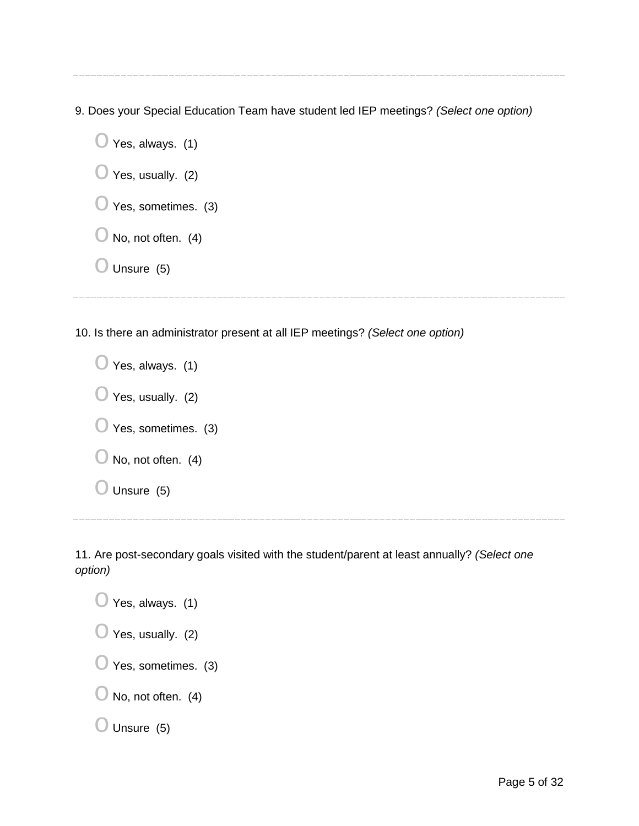9. Does your Special Education Team have student led IEP meetings? *(Select one option)*

 $\bigcirc$  Yes, always. (1)

 $\bigcirc$  Yes, usually. (2)

 $\bigcirc$  Yes, sometimes. (3)

 $\bigcirc$  No, not often. (4)

 $\bigcirc$  Unsure (5)

10. Is there an administrator present at all IEP meetings? *(Select one option)*

 $\bigcirc$  Yes, always. (1)  $\bigcirc$  Yes, usually. (2)  $\bigcirc$  Yes, sometimes. (3)  $\bigcirc$  No, not often. (4)  $\bigcirc$  Unsure (5)

11. Are post-secondary goals visited with the student/parent at least annually? *(Select one option)*

 $\bigcirc$  Yes, always. (1)  $\bigcirc$  Yes, usually. (2)  $\bigcirc$  Yes, sometimes. (3)  $\bigcirc$  No, not often. (4)  $\bigcirc$  Unsure (5)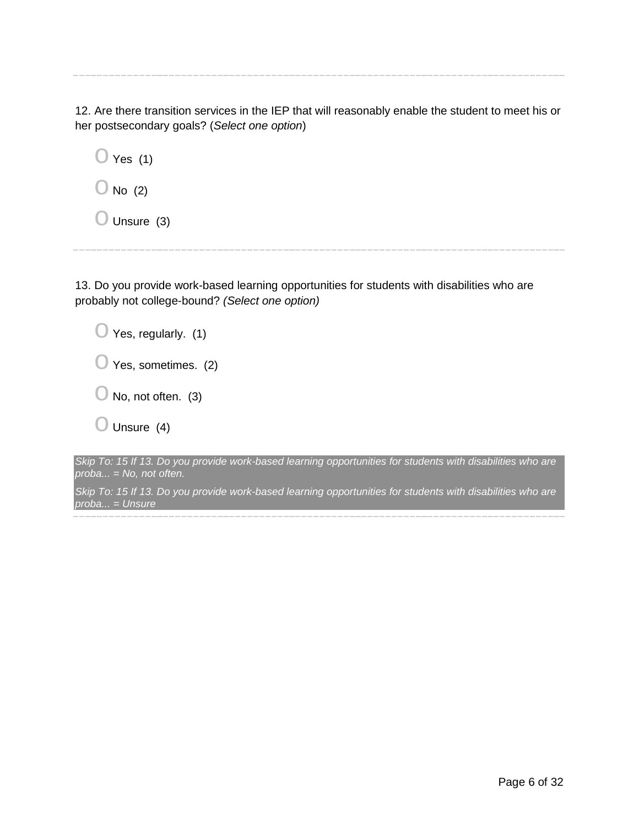12. Are there transition services in the IEP that will reasonably enable the student to meet his or her postsecondary goals? (*Select one option*)

 $\bigcirc$  Yes (1)  $\bigcirc$  No (2)

 $\bigcirc$  Unsure (3)

13. Do you provide work-based learning opportunities for students with disabilities who are probably not college-bound? *(Select one option)*

| $\bigcirc$ Yes, regularly. (1)       |
|--------------------------------------|
| $\bigcirc$ Yes, sometimes. (2)       |
| $\bigcup$ No, not often. (3)         |
| $\bigcirc$ Unsure (4)                |
| in To: 15<br>If 12 Do vou provide we |

*Skip To: 15 If 13. Do you provide work-based learning opportunities for students with disabilities who are proba... = No, not often.*

*Skip To: 15 If 13. Do you provide work-based learning opportunities for students with disabilities who are proba... = Unsure*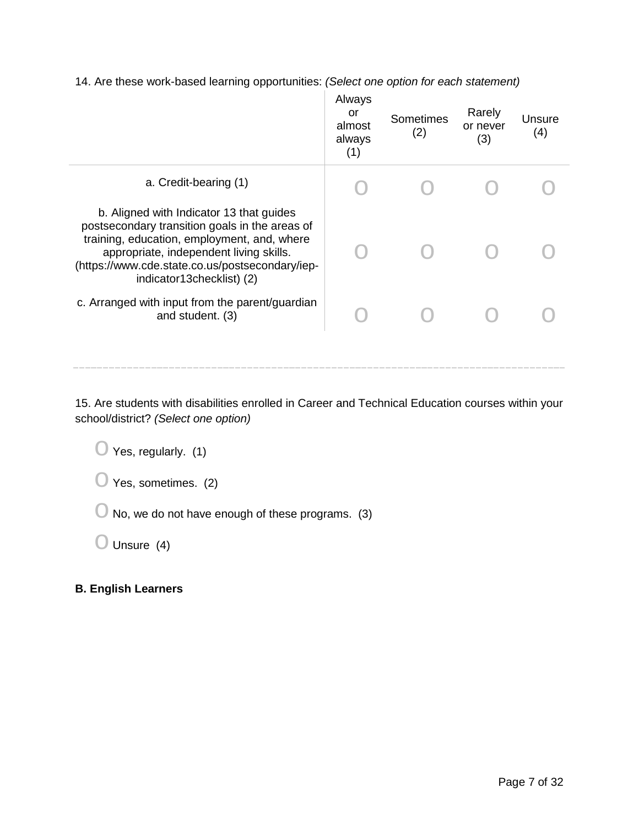14. Are these work-based learning opportunities: *(Select one option for each statement)*

|                                                                                                                                                                                                                                                                      | Always<br>or<br>almost<br>always<br>(1) | Sometimes<br>(2) | Rarely<br>or never<br>(3) | Unsure<br>(4) |
|----------------------------------------------------------------------------------------------------------------------------------------------------------------------------------------------------------------------------------------------------------------------|-----------------------------------------|------------------|---------------------------|---------------|
| a. Credit-bearing (1)                                                                                                                                                                                                                                                |                                         |                  |                           |               |
| b. Aligned with Indicator 13 that guides<br>postsecondary transition goals in the areas of<br>training, education, employment, and, where<br>appropriate, independent living skills.<br>(https://www.cde.state.co.us/postsecondary/iep-<br>indicator13checklist) (2) |                                         |                  |                           |               |
| c. Arranged with input from the parent/guardian<br>and student. (3)                                                                                                                                                                                                  |                                         |                  |                           |               |

15. Are students with disabilities enrolled in Career and Technical Education courses within your school/district? *(Select one option)*

 $\bigcirc$  Yes, regularly. (1)

 $\bigcirc$  Yes, sometimes. (2)

 $\bigcirc$  No, we do not have enough of these programs. (3)

 $\bigcirc$  Unsure (4)

## **B. English Learners**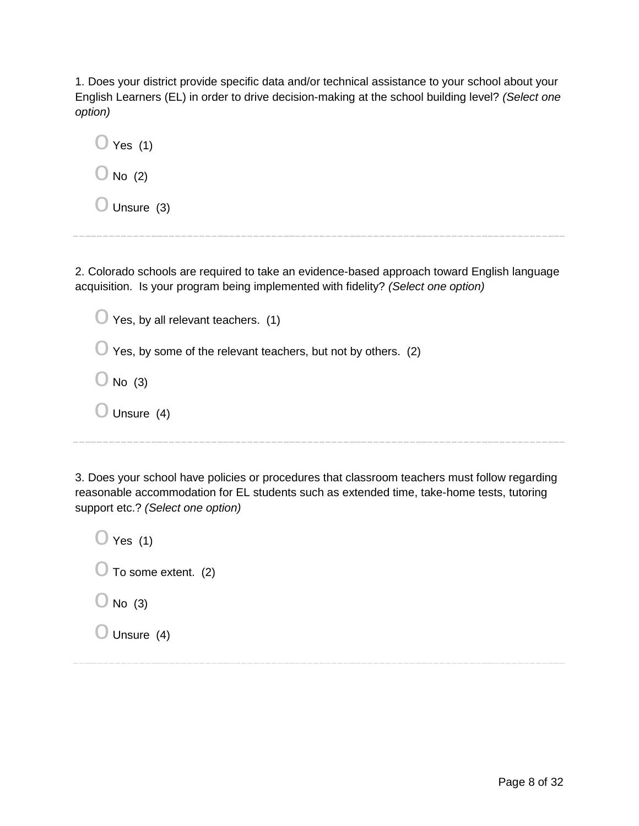1. Does your district provide specific data and/or technical assistance to your school about your English Learners (EL) in order to drive decision-making at the school building level? *(Select one option)*

| ◯ Yes (1)        |  |
|------------------|--|
| $\bigcup$ No (2) |  |
| Unsure (3)       |  |

2. Colorado schools are required to take an evidence-based approach toward English language acquisition. Is your program being implemented with fidelity? *(Select one option)*

| $\bigcirc$ Yes, by all relevant teachers. (1)                           |
|-------------------------------------------------------------------------|
| $\bigcup$ Yes, by some of the relevant teachers, but not by others. (2) |
| No $(3)$<br>$\sqrt{2}$                                                  |
| Unsure (4)                                                              |
|                                                                         |

3. Does your school have policies or procedures that classroom teachers must follow regarding reasonable accommodation for EL students such as extended time, take-home tests, tutoring support etc.? *(Select one option)*

| $\bigcirc$ Yes (1)             |  |
|--------------------------------|--|
| $\bigcirc$ To some extent. (2) |  |
| $\bigcirc$ No (3)              |  |
| $\bigcirc$ Unsure (4)          |  |
|                                |  |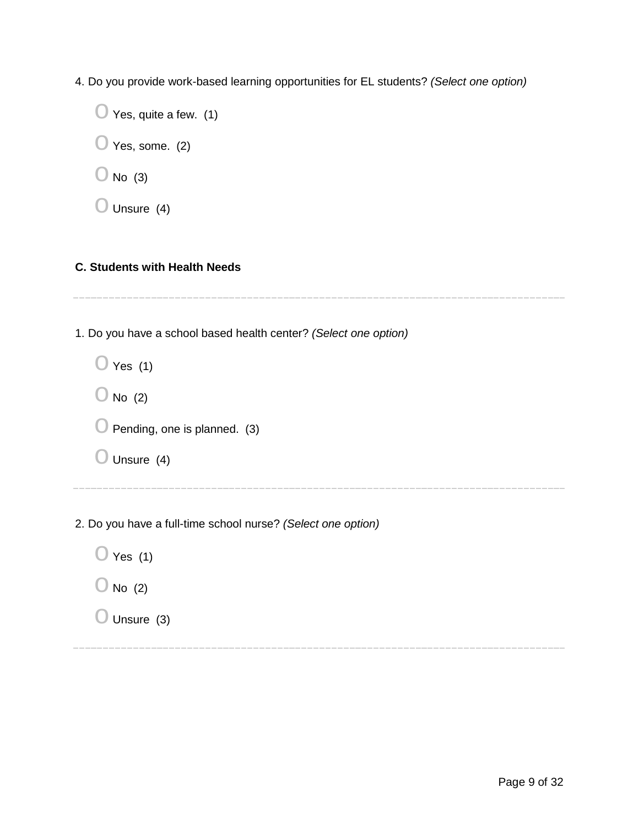4. Do you provide work-based learning opportunities for EL students? *(Select one option)*

 $\bigcirc$  Yes, quite a few. (1)  $\bigcirc$  Yes, some. (2)  $\bigcirc$  No (3)

 $\bigcirc$  Unsure (4)

### **C. Students with Health Needs**

1. Do you have a school based health center? *(Select one option)*

| $\bigcirc$ Yes (1)                      |  |
|-----------------------------------------|--|
| $\bigcirc$ No (2)                       |  |
| $\bigcirc$ Pending, one is planned. (3) |  |
| $\bigcirc$ Unsure (4)                   |  |

2. Do you have a full-time school nurse? *(Select one option)*

 $\bigcirc$  Yes (1)

- $\bigcirc$  No (2)
- $\bigcirc$  Unsure (3)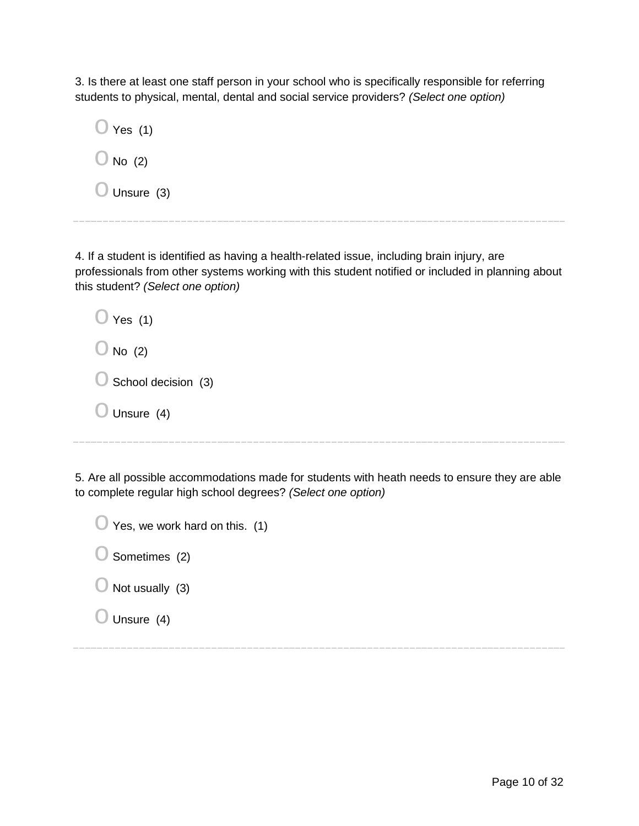3. Is there at least one staff person in your school who is specifically responsible for referring students to physical, mental, dental and social service providers? *(Select one option)*

| Yes (1)              |  |
|----------------------|--|
| $\bigcup$ No (2)     |  |
| $\bigcup$ Unsure (3) |  |

4. If a student is identified as having a health-related issue, including brain injury, are professionals from other systems working with this student notified or included in planning about this student? *(Select one option)*

| $\bigcirc$ Yes (1)             |
|--------------------------------|
| $\bigcirc$ No (2)              |
| $\bigcirc$ School decision (3) |
| $\bigcup$ Unsure (4)           |
|                                |

5. Are all possible accommodations made for students with heath needs to ensure they are able to complete regular high school degrees? *(Select one option)*

| $\bigcirc$ Yes, we work hard on this. (1) |  |
|-------------------------------------------|--|
| $\bigcirc$ Sometimes (2)                  |  |
| $\bigcup$ Not usually (3)                 |  |
| $\bigcirc$ Unsure (4)                     |  |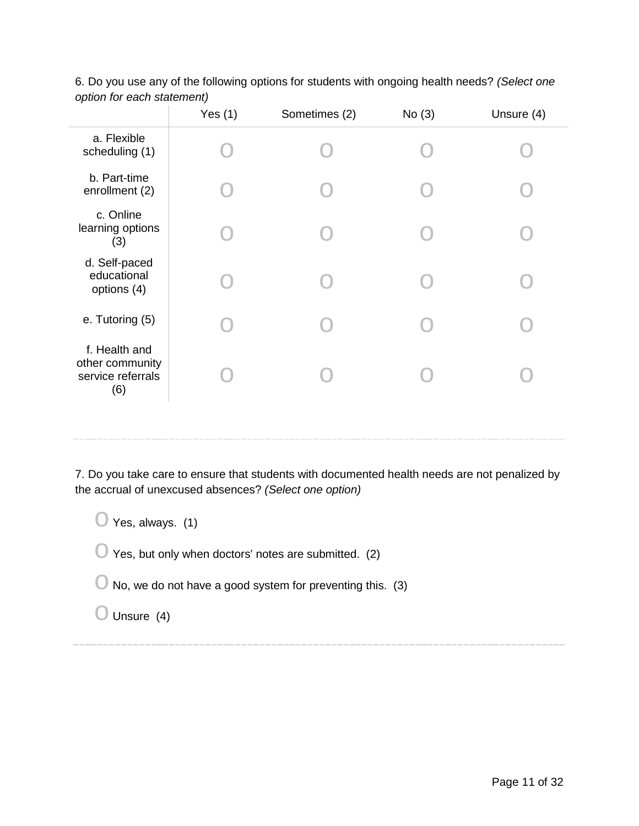|                                                              | Yes $(1)$ | Sometimes (2) | No(3) | Unsure (4) |
|--------------------------------------------------------------|-----------|---------------|-------|------------|
| a. Flexible<br>scheduling (1)                                |           |               |       |            |
| b. Part-time<br>enrollment (2)                               |           |               |       |            |
| c. Online<br>learning options<br>(3)                         |           |               |       |            |
| d. Self-paced<br>educational<br>options (4)                  |           |               |       |            |
| e. Tutoring (5)                                              |           |               |       |            |
| f. Health and<br>other community<br>service referrals<br>(6) |           |               |       |            |
|                                                              |           |               |       |            |

6. Do you use any of the following options for students with ongoing health needs? *(Select one option for each statement)*

7. Do you take care to ensure that students with documented health needs are not penalized by the accrual of unexcused absences? *(Select one option)*

 $\bigcirc$  Yes, always. (1)  $\bigcirc$  Yes, but only when doctors' notes are submitted. (2)  $\bigcirc$  No, we do not have a good system for preventing this. (3)

 $\bigcirc$  Unsure (4)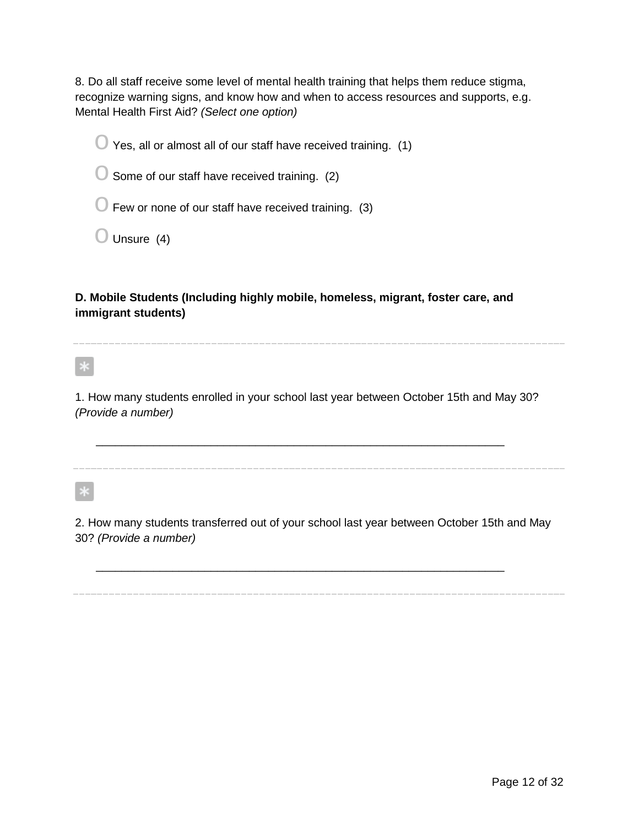8. Do all staff receive some level of mental health training that helps them reduce stigma, recognize warning signs, and know how and when to access resources and supports, e.g. Mental Health First Aid? *(Select one option)*

 $\bigcirc$  Yes, all or almost all of our staff have received training. (1)

 $\bigcirc$  Some of our staff have received training. (2)

 $\bigcirc$  Few or none of our staff have received training. (3)

 $\bigcirc$  Unsure (4)

**D. Mobile Students (Including highly mobile, homeless, migrant, foster care, and immigrant students)**

 $\vert * \vert$ 

1. How many students enrolled in your school last year between October 15th and May 30? *(Provide a number)*

\_\_\_\_\_\_\_\_\_\_\_\_\_\_\_\_\_\_\_\_\_\_\_\_\_\_\_\_\_\_\_\_\_\_\_\_\_\_\_\_\_\_\_\_\_\_\_\_\_\_\_\_\_\_\_\_\_\_\_\_\_\_\_\_

 $\ast$ 

2. How many students transferred out of your school last year between October 15th and May 30? *(Provide a number)*

\_\_\_\_\_\_\_\_\_\_\_\_\_\_\_\_\_\_\_\_\_\_\_\_\_\_\_\_\_\_\_\_\_\_\_\_\_\_\_\_\_\_\_\_\_\_\_\_\_\_\_\_\_\_\_\_\_\_\_\_\_\_\_\_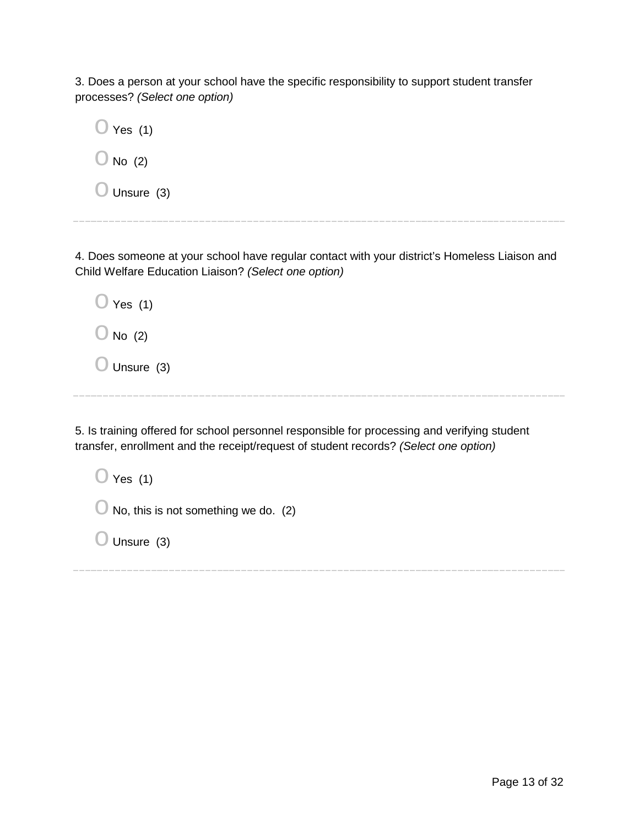3. Does a person at your school have the specific responsibility to support student transfer processes? *(Select one option)*

| $\bigcirc$ Yes (1)    |  |  |
|-----------------------|--|--|
| $\bigcirc$ No (2)     |  |  |
| $\bigcirc$ Unsure (3) |  |  |

4. Does someone at your school have regular contact with your district's Homeless Liaison and Child Welfare Education Liaison? *(Select one option)*

| $\bigcirc$ Yes (1)    |  |  |  |
|-----------------------|--|--|--|
| $\bigcirc$ No (2)     |  |  |  |
| $\bigcirc$ Unsure (3) |  |  |  |

5. Is training offered for school personnel responsible for processing and verifying student transfer, enrollment and the receipt/request of student records? *(Select one option)*

 $\bigcirc$  Yes (1)  $\bigcirc$  No, this is not something we do. (2)  $\bigcirc$  Unsure (3)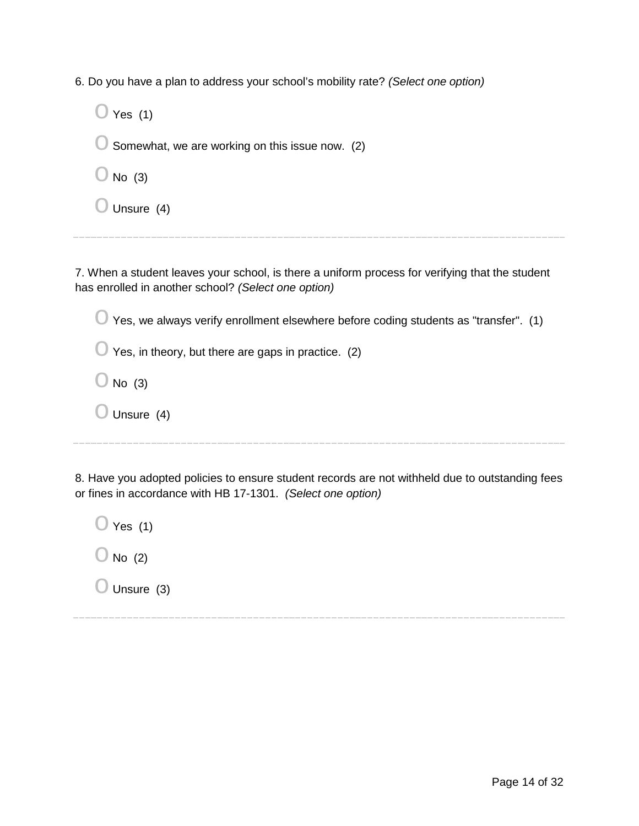6. Do you have a plan to address your school's mobility rate? *(Select one option)*

| $\bigcirc$ Yes (1)                                         |
|------------------------------------------------------------|
| $\bigcirc$ Somewhat, we are working on this issue now. (2) |
| $\bigcirc$ No (3)                                          |
| $\bigcirc$ Unsure (4)                                      |

7. When a student leaves your school, is there a uniform process for verifying that the student has enrolled in another school? *(Select one option)*

 $\bigcirc$  Yes, we always verify enrollment elsewhere before coding students as "transfer". (1)

 $\bigcirc$  Yes, in theory, but there are gaps in practice. (2)

 $\bigcirc$  No (3)

 $\bigcirc$  Unsure (4)

8. Have you adopted policies to ensure student records are not withheld due to outstanding fees or fines in accordance with HB 17-1301. *(Select one option)*

 $\bigcirc$  Yes (1)  $\bigcirc$  No (2)  $\bigcirc$  Unsure (3)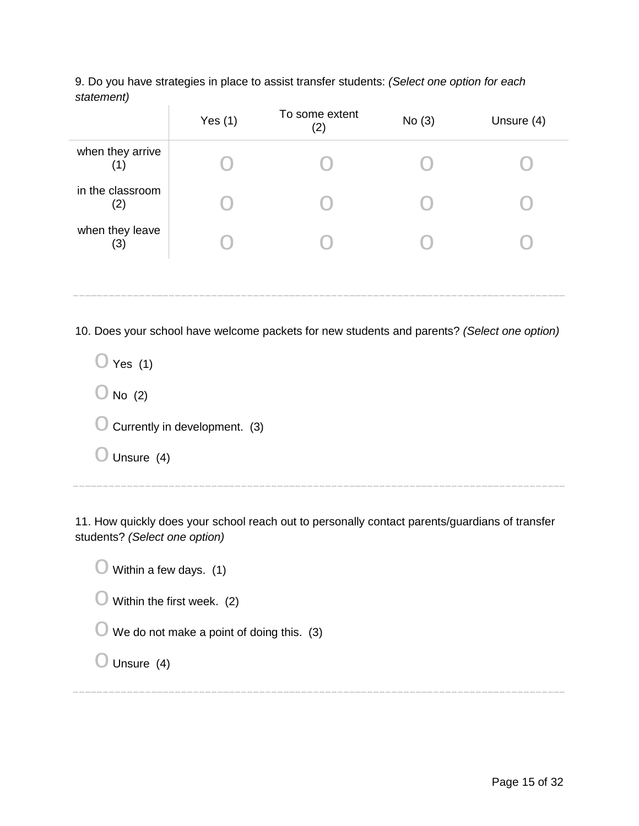9. Do you have strategies in place to assist transfer students: *(Select one option for each statement)*

|                         | Yes $(1)$ | To some extent<br>(2) | No(3) | Unsure (4) |
|-------------------------|-----------|-----------------------|-------|------------|
| when they arrive<br>(1) |           |                       |       |            |
| in the classroom<br>(2) |           |                       |       |            |
| when they leave<br>(3)  |           |                       |       |            |
|                         |           |                       |       |            |

10. Does your school have welcome packets for new students and parents? *(Select one option)*

 $\bigcirc$  Yes (1)  $\bigcirc$  No (2)  $\bigcirc$  Currently in development. (3)  $\bigcirc$  Unsure (4)

11. How quickly does your school reach out to personally contact parents/guardians of transfer students? *(Select one option)*

| Within a few days. (1)     |                                             |
|----------------------------|---------------------------------------------|
| Within the first week. (2) |                                             |
|                            | We do not make a point of doing this. $(3)$ |
| Unsure (4)                 |                                             |
|                            |                                             |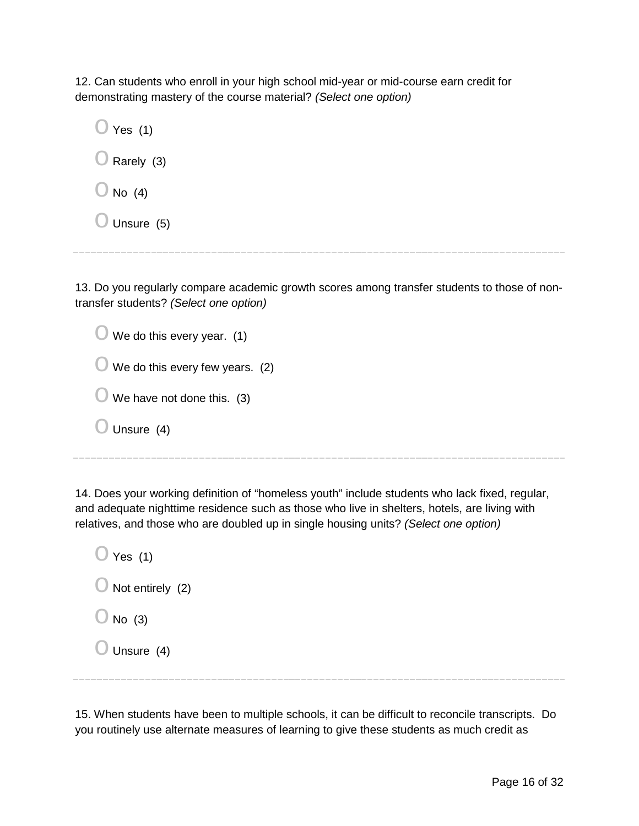12. Can students who enroll in your high school mid-year or mid-course earn credit for demonstrating mastery of the course material? *(Select one option)*

 $\bigcirc$  Yes (1)  $\bigcirc$  Rarely (3)  $\bigcirc$  No (4)  $\bigcirc$  Unsure (5)

13. Do you regularly compare academic growth scores among transfer students to those of nontransfer students? *(Select one option)*

| $\bigcup$ We do this every year. (1)       |
|--------------------------------------------|
| $\bigcirc$ We do this every few years. (2) |
| We have not done this. (3)<br>U            |
| Unsure (4)                                 |
|                                            |

14. Does your working definition of "homeless youth" include students who lack fixed, regular, and adequate nighttime residence such as those who live in shelters, hotels, are living with relatives, and those who are doubled up in single housing units? *(Select one option)*

 $\bigcirc$  Yes (1)  $\bigcirc$  Not entirely (2)  $\bigcirc$  No (3)  $\bigcirc$  Unsure (4)

15. When students have been to multiple schools, it can be difficult to reconcile transcripts. Do you routinely use alternate measures of learning to give these students as much credit as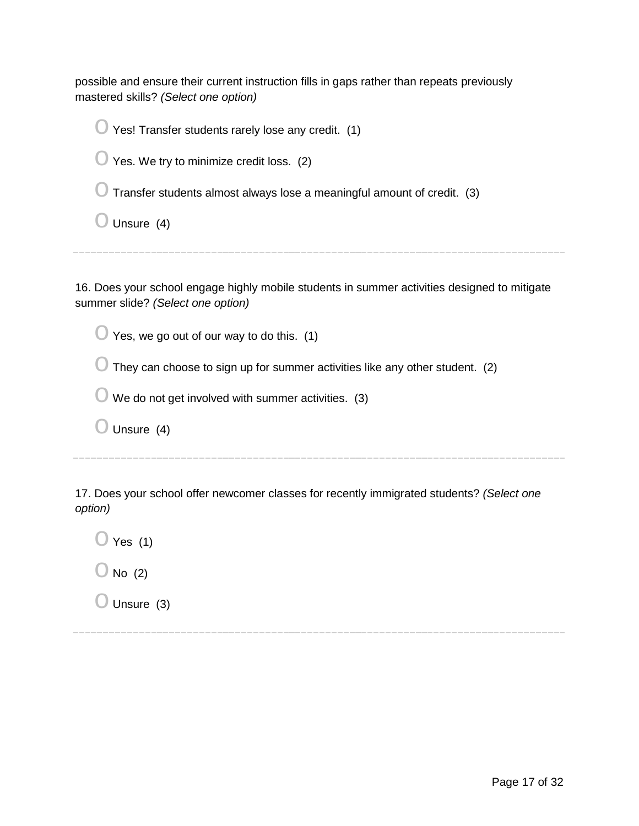possible and ensure their current instruction fills in gaps rather than repeats previously mastered skills? *(Select one option)*

| Yes! Transfer students rarely lose any credit. (1)                             |
|--------------------------------------------------------------------------------|
| Yes. We try to minimize credit loss. (2)                                       |
| $\cup$ Transfer students almost always lose a meaningful amount of credit. (3) |
| Unsure (4)                                                                     |
|                                                                                |

16. Does your school engage highly mobile students in summer activities designed to mitigate summer slide? *(Select one option)*

 $\bigcirc$  Yes, we go out of our way to do this. (1)

 $\bigcirc$  They can choose to sign up for summer activities like any other student. (2)

 $\bigcirc$  We do not get involved with summer activities. (3)

 $\bigcirc$  Unsure (4)

17. Does your school offer newcomer classes for recently immigrated students? *(Select one option)*

 $\bigcirc$  Yes (1)

 $\bigcirc$  No (2)

 $\bigcirc$  Unsure (3)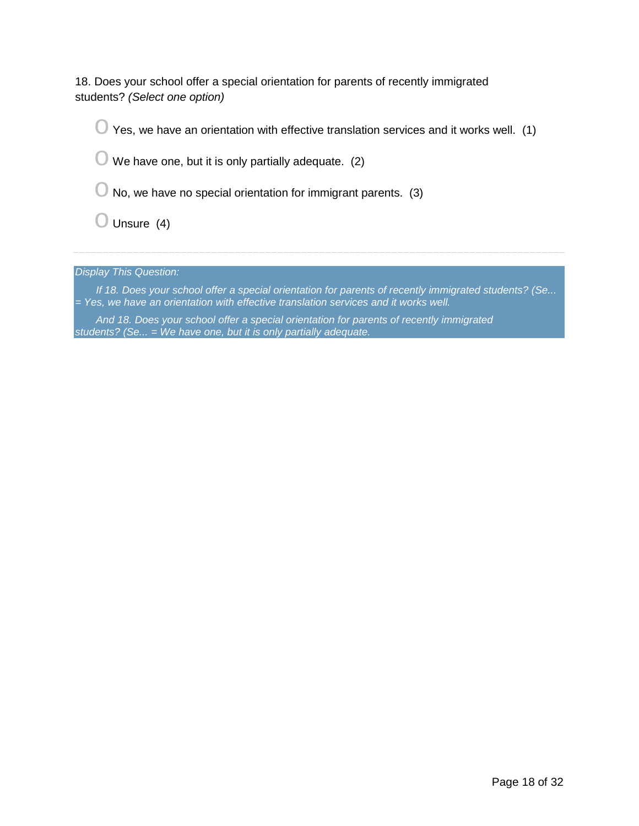18. Does your school offer a special orientation for parents of recently immigrated students? *(Select one option)*

 $\bigcirc$  Yes, we have an orientation with effective translation services and it works well. (1)

 $\bigcirc$  We have one, but it is only partially adequate. (2)

 $\bigcirc$  No, we have no special orientation for immigrant parents. (3)

 $\bigcirc$  Unsure (4)

*Display This Question:*

*If 18. Does your school offer a special orientation for parents of recently immigrated students? (Se... = Yes, we have an orientation with effective translation services and it works well.*

*And 18. Does your school offer a special orientation for parents of recently immigrated students? (Se... = We have one, but it is only partially adequate.*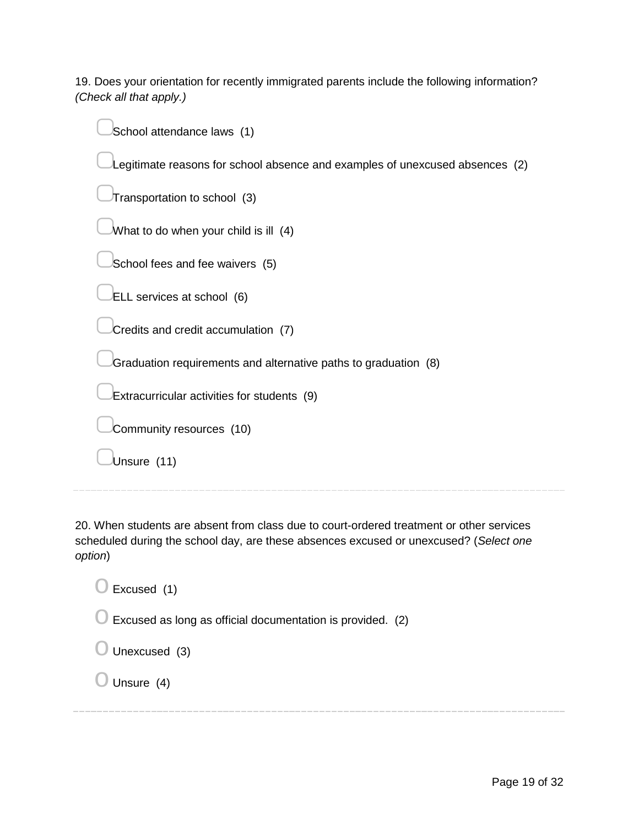19. Does your orientation for recently immigrated parents include the following information? *(Check all that apply.)*

| School attendance laws (1)                                                   |
|------------------------------------------------------------------------------|
| Legitimate reasons for school absence and examples of unexcused absences (2) |
| Transportation to school (3)                                                 |
| What to do when your child is ill (4)                                        |
| School fees and fee waivers (5)                                              |
| ELL services at school (6)                                                   |
| Credits and credit accumulation (7)                                          |
| Graduation requirements and alternative paths to graduation (8)              |
| Extracurricular activities for students (9)                                  |
| Community resources (10)                                                     |
| Unsure (11)                                                                  |
|                                                                              |

20. When students are absent from class due to court-ordered treatment or other services scheduled during the school day, are these absences excused or unexcused? (*Select one option*)

 $\bigcirc$  Excused (1)

 $\bigcirc$  Excused as long as official documentation is provided. (2)

 $\bigcirc$  Unexcused (3)

 $\bigcirc$  Unsure (4)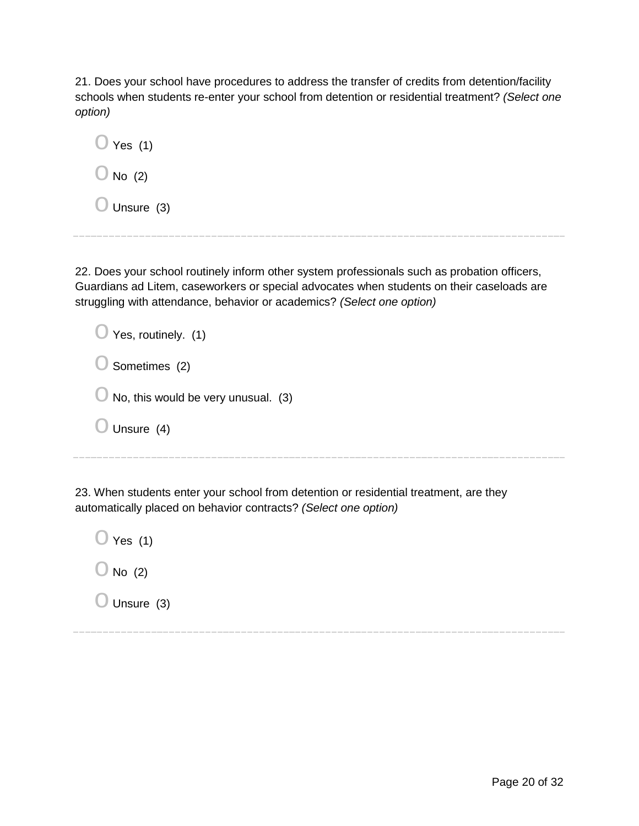21. Does your school have procedures to address the transfer of credits from detention/facility schools when students re-enter your school from detention or residential treatment? *(Select one option)*

 $\bigcirc$  Yes (1)  $\bigcirc$  No (2)  $\bigcirc$  Unsure (3)

22. Does your school routinely inform other system professionals such as probation officers, Guardians ad Litem, caseworkers or special advocates when students on their caseloads are struggling with attendance, behavior or academics? *(Select one option)*

| $\bigcirc$ Yes, routinely. (1)                 |
|------------------------------------------------|
| $\bigcirc$ Sometimes (2)                       |
| $\bigcirc$ No, this would be very unusual. (3) |
| $\bigcirc$ Unsure (4)                          |
|                                                |

23. When students enter your school from detention or residential treatment, are they automatically placed on behavior contracts? *(Select one option)*

 $\bigcirc$  Yes (1)  $\bigcirc$  No (2)  $\bigcirc$  Unsure (3)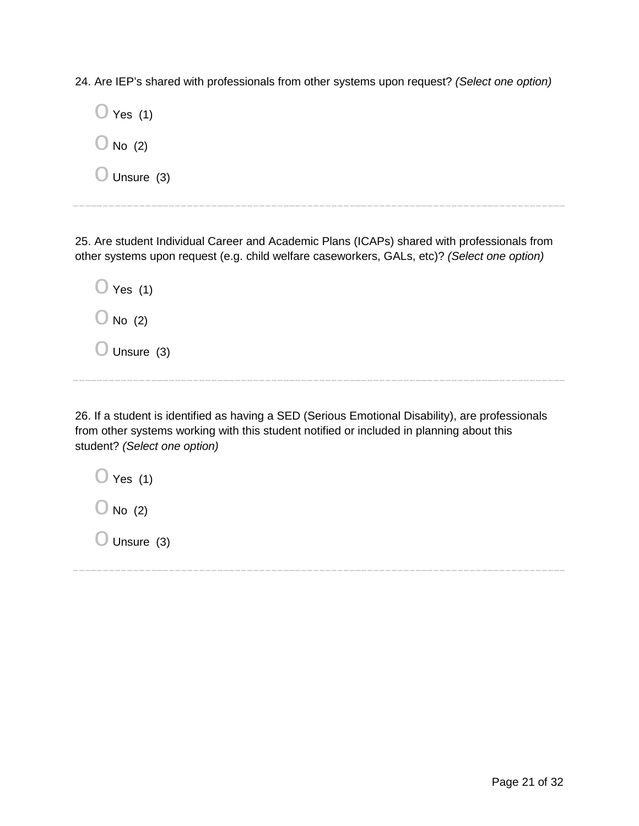24. Are IEP's shared with professionals from other systems upon request? *(Select one option)*

| $\cup$ Yes (1)       |
|----------------------|
| $\bigcup$ No (2)     |
| $\bigcup$ Unsure (3) |

25. Are student Individual Career and Academic Plans (ICAPs) shared with professionals from other systems upon request (e.g. child welfare caseworkers, GALs, etc)? *(Select one option)*

| <sup>∣</sup> Yes (1)<br>U |  |
|---------------------------|--|
| $\bigcup$ No (2)          |  |
| $\bigcup$ Unsure (3)      |  |

26. If a student is identified as having a SED (Serious Emotional Disability), are professionals from other systems working with this student notified or included in planning about this student? *(Select one option)*

| $\cup$ Yes (1)       |  |
|----------------------|--|
| $\bigcup$ No (2)     |  |
| $\bigcup$ Unsure (3) |  |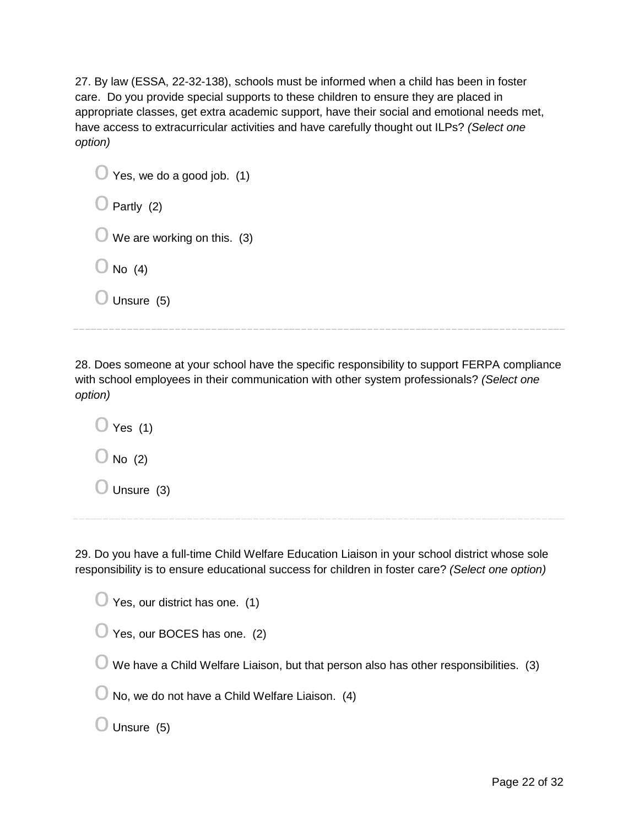27. By law (ESSA, 22-32-138), schools must be informed when a child has been in foster care. Do you provide special supports to these children to ensure they are placed in appropriate classes, get extra academic support, have their social and emotional needs met, have access to extracurricular activities and have carefully thought out ILPs? *(Select one option)*

| Yes, we do a good job. (1)<br>$\cup$ |
|--------------------------------------|
| Partly (2)                           |
| We are working on this. (3)<br>∪     |
| No $(4)$<br>U                        |
| Unsure (5)                           |
|                                      |

28. Does someone at your school have the specific responsibility to support FERPA compliance with school employees in their communication with other system professionals? *(Select one option)*

 $\bigcirc$  Yes (1)  $\bigcirc$  No (2)  $\bigcirc$  Unsure (3)

29. Do you have a full-time Child Welfare Education Liaison in your school district whose sole responsibility is to ensure educational success for children in foster care? *(Select one option)*

| $\bigcirc$ Yes, our district has one. (1) |  |
|-------------------------------------------|--|
|-------------------------------------------|--|

| $\bigcirc$ Yes, our BOCES has one. (2) |  |
|----------------------------------------|--|
|----------------------------------------|--|

 $\bigcirc$  We have a Child Welfare Liaison, but that person also has other responsibilities. (3)

 $\bigcirc$  No, we do not have a Child Welfare Liaison. (4)

 $\bigcirc$  Unsure (5)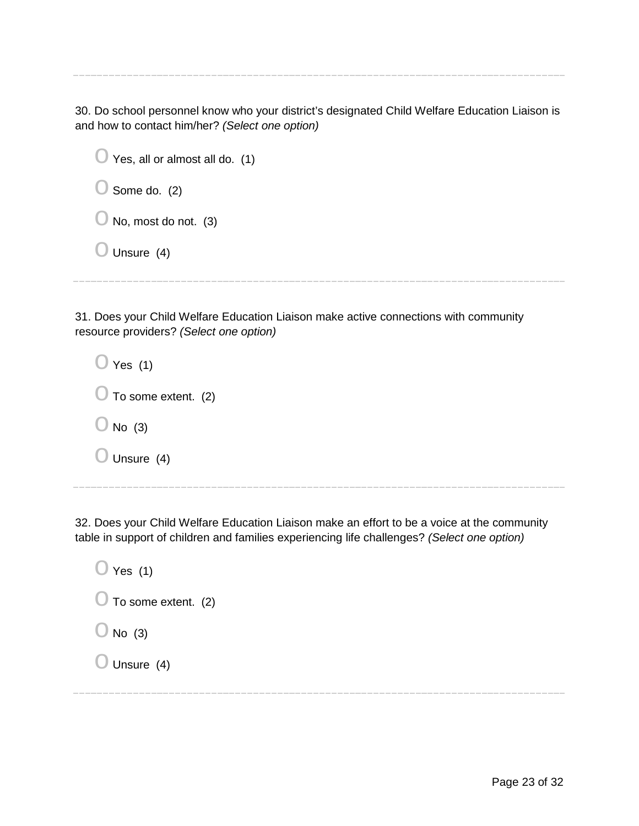30. Do school personnel know who your district's designated Child Welfare Education Liaison is and how to contact him/her? *(Select one option)*

| $\bigcirc$ Yes, all or almost all do. (1) |
|-------------------------------------------|
| $\bigcirc$ Some do. (2)                   |
| $\bigcirc$ No, most do not. (3)           |
| $\bigcirc$ Unsure (4)                     |
|                                           |

31. Does your Child Welfare Education Liaison make active connections with community resource providers? *(Select one option)*

| $\bigcirc$ Yes (1)            |  |
|-------------------------------|--|
| $\bigcup$ To some extent. (2) |  |
| $\bigcirc$ No (3)             |  |
| $\bigcirc$ Unsure (4)         |  |

32. Does your Child Welfare Education Liaison make an effort to be a voice at the community table in support of children and families experiencing life challenges? *(Select one option)*

| $\bigcirc$ Yes (1)             |  |
|--------------------------------|--|
| $\bigcirc$ To some extent. (2) |  |
| $\bigcirc$ No (3)              |  |
| $\bigcirc$ Unsure (4)          |  |
|                                |  |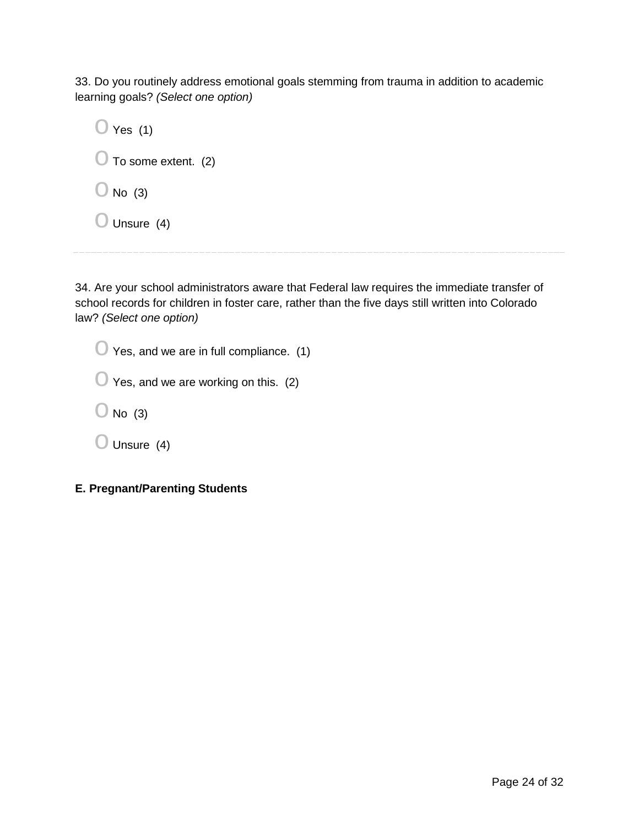33. Do you routinely address emotional goals stemming from trauma in addition to academic learning goals? *(Select one option)*

34. Are your school administrators aware that Federal law requires the immediate transfer of school records for children in foster care, rather than the five days still written into Colorado law? *(Select one option)*

| $\bigcirc$ Yes, and we are in full compliance. (1) |
|----------------------------------------------------|
| $\bigcup$ Yes, and we are working on this. (2)     |
| $\bigcup$ No (3)                                   |
| $\bigcup$ Unsure (4)                               |
|                                                    |

**E. Pregnant/Parenting Students**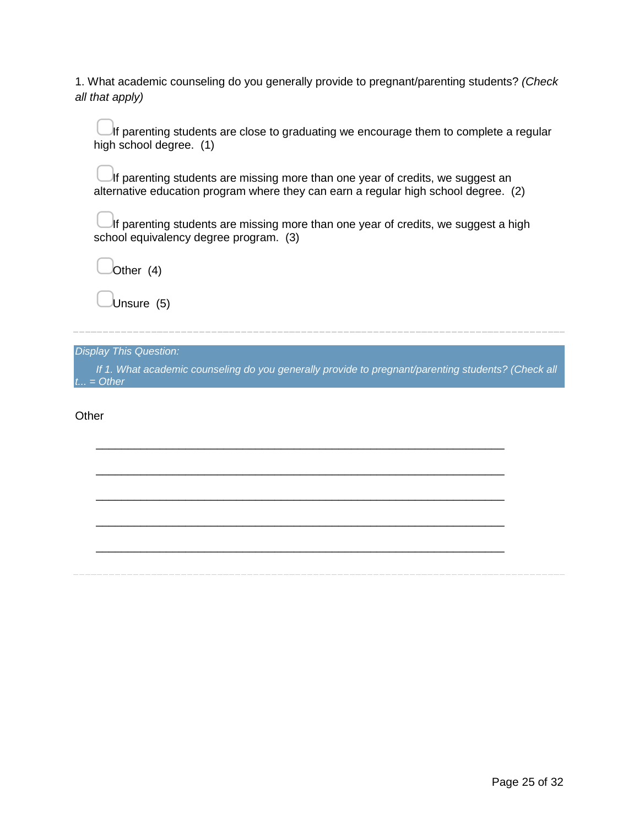1. What academic counseling do you generally provide to pregnant/parenting students? *(Check all that apply)*

If parenting students are close to graduating we encourage them to complete a regular high school degree. (1)

If parenting students are missing more than one year of credits, we suggest an alternative education program where they can earn a regular high school degree. (2)

If parenting students are missing more than one year of credits, we suggest a high school equivalency degree program. (3)

▢Other (4)

Unsure (5)

*Display This Question:*

*If 1. What academic counseling do you generally provide to pregnant/parenting students? (Check all t... = Other*

\_\_\_\_\_\_\_\_\_\_\_\_\_\_\_\_\_\_\_\_\_\_\_\_\_\_\_\_\_\_\_\_\_\_\_\_\_\_\_\_\_\_\_\_\_\_\_\_\_\_\_\_\_\_\_\_\_\_\_\_\_\_\_\_

\_\_\_\_\_\_\_\_\_\_\_\_\_\_\_\_\_\_\_\_\_\_\_\_\_\_\_\_\_\_\_\_\_\_\_\_\_\_\_\_\_\_\_\_\_\_\_\_\_\_\_\_\_\_\_\_\_\_\_\_\_\_\_\_

\_\_\_\_\_\_\_\_\_\_\_\_\_\_\_\_\_\_\_\_\_\_\_\_\_\_\_\_\_\_\_\_\_\_\_\_\_\_\_\_\_\_\_\_\_\_\_\_\_\_\_\_\_\_\_\_\_\_\_\_\_\_\_\_

\_\_\_\_\_\_\_\_\_\_\_\_\_\_\_\_\_\_\_\_\_\_\_\_\_\_\_\_\_\_\_\_\_\_\_\_\_\_\_\_\_\_\_\_\_\_\_\_\_\_\_\_\_\_\_\_\_\_\_\_\_\_\_\_

\_\_\_\_\_\_\_\_\_\_\_\_\_\_\_\_\_\_\_\_\_\_\_\_\_\_\_\_\_\_\_\_\_\_\_\_\_\_\_\_\_\_\_\_\_\_\_\_\_\_\_\_\_\_\_\_\_\_\_\_\_\_\_\_

**Other**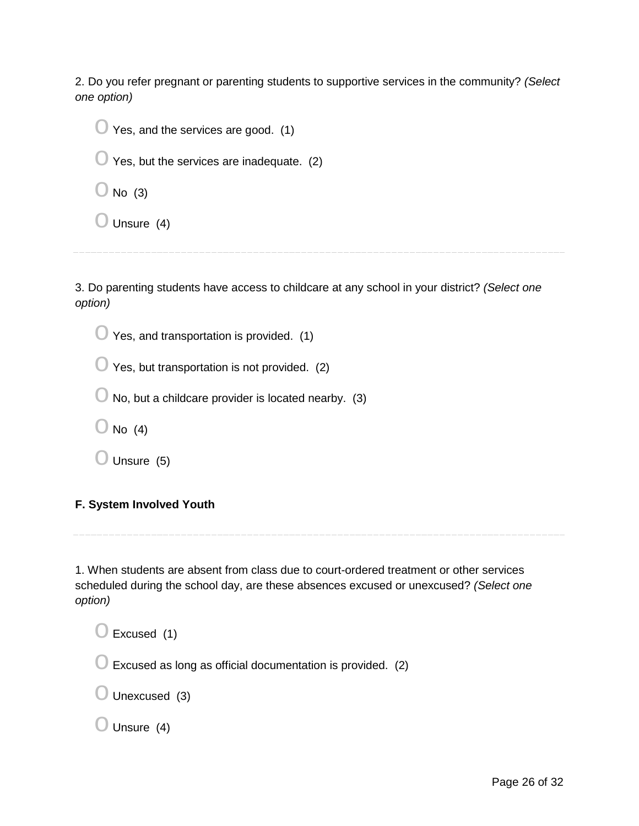2. Do you refer pregnant or parenting students to supportive services in the community? *(Select one option)*

| $\bigcirc$ Yes, and the services are good. (1)      |
|-----------------------------------------------------|
| $\bigcup$ Yes, but the services are inadequate. (2) |
| $\bigcirc$ No (3)                                   |
| $\bigcirc$ Unsure (4)                               |
|                                                     |

3. Do parenting students have access to childcare at any school in your district? *(Select one option)*

 $\bigcirc$  Yes, and transportation is provided. (1)

 $\bigcirc$  Yes, but transportation is not provided. (2)

 $\bigcirc$  No, but a childcare provider is located nearby. (3)

 $\bigcirc$  No (4)

 $\bigcirc$  Unsure (5)

#### **F. System Involved Youth**

1. When students are absent from class due to court-ordered treatment or other services scheduled during the school day, are these absences excused or unexcused? *(Select one option)*

 $\bigcirc$  Excused (1)  $\bigcirc$  Excused as long as official documentation is provided. (2)  $\bigcirc$  Unexcused (3)  $\bigcirc$  Unsure (4)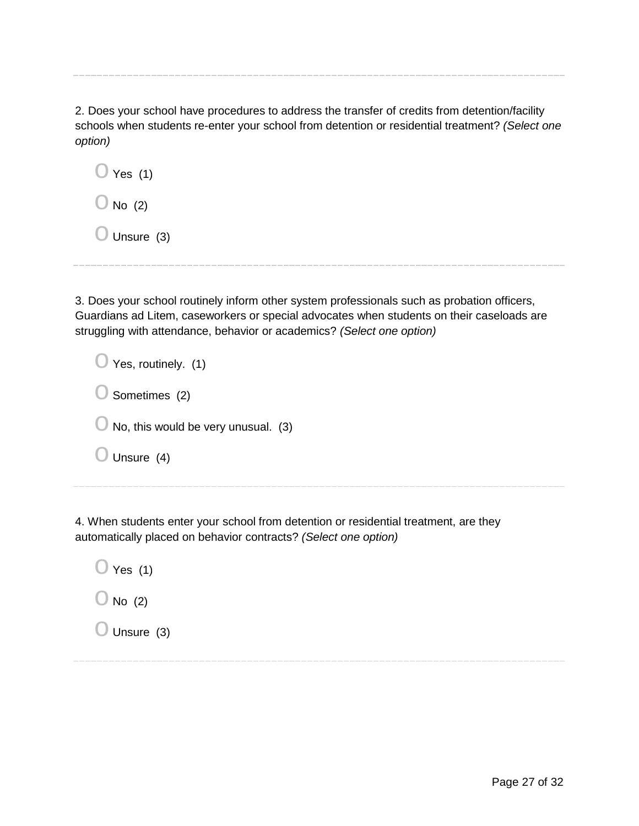2. Does your school have procedures to address the transfer of credits from detention/facility schools when students re-enter your school from detention or residential treatment? *(Select one option)*

| $\bigcup$ Yes (1)    |  |
|----------------------|--|
| $\bigcup$ No (2)     |  |
| Unsure (3)<br>$\cup$ |  |

3. Does your school routinely inform other system professionals such as probation officers, Guardians ad Litem, caseworkers or special advocates when students on their caseloads are struggling with attendance, behavior or academics? *(Select one option)*

| Yes, routinely. (1)                 |
|-------------------------------------|
| Sometimes (2)                       |
| No, this would be very unusual. (3) |
| Unsure (4)                          |
|                                     |

4. When students enter your school from detention or residential treatment, are they automatically placed on behavior contracts? *(Select one option)*

 $\bigcirc$  Yes (1)  $\bigcirc$  No (2)  $\bigcirc$  Unsure (3)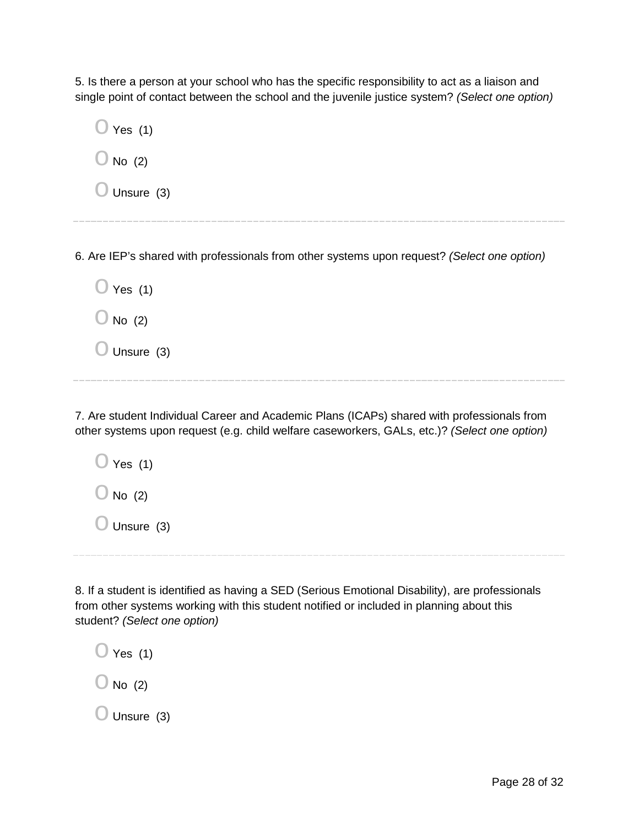5. Is there a person at your school who has the specific responsibility to act as a liaison and single point of contact between the school and the juvenile justice system? *(Select one option)*

| $\bigcirc$ Yes (1)    |
|-----------------------|
| $\bigcirc$ No (2)     |
| $\bigcirc$ Unsure (3) |
|                       |

6. Are IEP's shared with professionals from other systems upon request? *(Select one option)*

| $\cup$ Yes (1)       |  |
|----------------------|--|
| $\bigcup$ No (2)     |  |
| $\bigcup$ Unsure (3) |  |

7. Are student Individual Career and Academic Plans (ICAPs) shared with professionals from other systems upon request (e.g. child welfare caseworkers, GALs, etc.)? *(Select one option)*

| $\bigcirc$ Yes (1)    |  |  |  |
|-----------------------|--|--|--|
| $\bigcirc$ No (2)     |  |  |  |
| $\bigcirc$ Unsure (3) |  |  |  |

8. If a student is identified as having a SED (Serious Emotional Disability), are professionals from other systems working with this student notified or included in planning about this student? *(Select one option)*

| $\bigcup$ Yes (1)    |  |
|----------------------|--|
| $\bigcup$ No (2)     |  |
| $\bigcup$ Unsure (3) |  |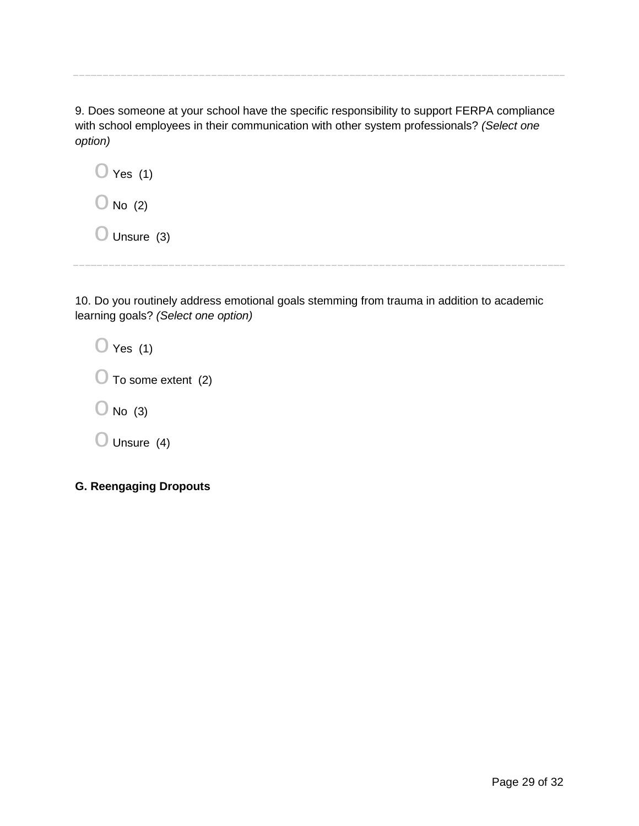9. Does someone at your school have the specific responsibility to support FERPA compliance with school employees in their communication with other system professionals? *(Select one option)*

| $\cup$ Yes (1)   |  |
|------------------|--|
| $\bigcup$ No (2) |  |

 $\bigcirc$  Unsure (3)

10. Do you routinely address emotional goals stemming from trauma in addition to academic learning goals? *(Select one option)*

| $\bigcirc$ Yes (1) |  |
|--------------------|--|
|                    |  |

 $\bigcirc$  To some extent (2)

 $\bigcirc$  No (3)

 $\bigcirc$  Unsure (4)

**G. Reengaging Dropouts**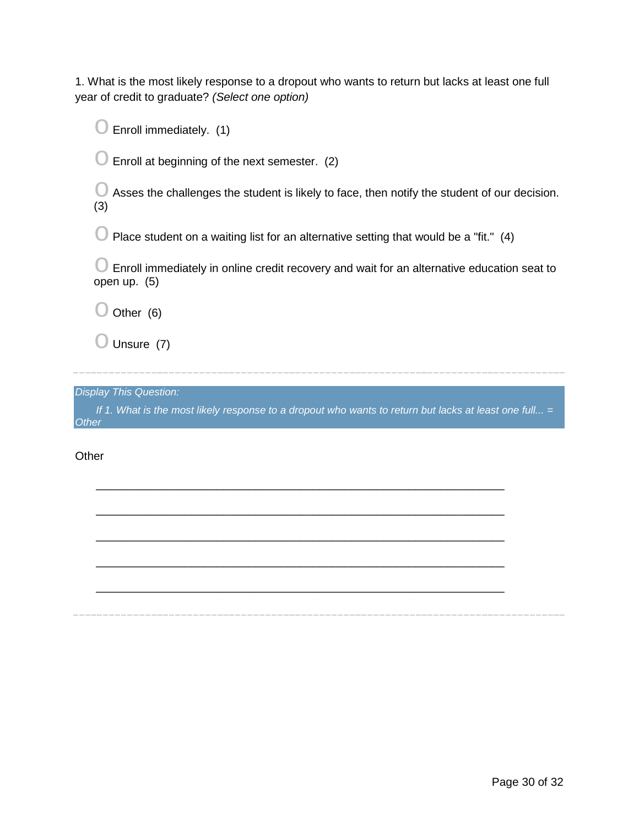1. What is the most likely response to a dropout who wants to return but lacks at least one full year of credit to graduate? *(Select one option)*

 $\bigcirc$  Enroll immediately. (1)

 $\bigcirc$  Enroll at beginning of the next semester. (2)

 $\bigcirc$  Asses the challenges the student is likely to face, then notify the student of our decision. (3)

 $\bigcirc$  Place student on a waiting list for an alternative setting that would be a "fit." (4)

 $\bigcirc$  Enroll immediately in online credit recovery and wait for an alternative education seat to open up. (5)

 $\bigcirc$  Other (6)

 $\bigcirc$  Unsure (7)

*Display This Question:*

*If 1. What is the most likely response to a dropout who wants to return but lacks at least one full... = Other*

\_\_\_\_\_\_\_\_\_\_\_\_\_\_\_\_\_\_\_\_\_\_\_\_\_\_\_\_\_\_\_\_\_\_\_\_\_\_\_\_\_\_\_\_\_\_\_\_\_\_\_\_\_\_\_\_\_\_\_\_\_\_\_\_

\_\_\_\_\_\_\_\_\_\_\_\_\_\_\_\_\_\_\_\_\_\_\_\_\_\_\_\_\_\_\_\_\_\_\_\_\_\_\_\_\_\_\_\_\_\_\_\_\_\_\_\_\_\_\_\_\_\_\_\_\_\_\_\_

\_\_\_\_\_\_\_\_\_\_\_\_\_\_\_\_\_\_\_\_\_\_\_\_\_\_\_\_\_\_\_\_\_\_\_\_\_\_\_\_\_\_\_\_\_\_\_\_\_\_\_\_\_\_\_\_\_\_\_\_\_\_\_\_

\_\_\_\_\_\_\_\_\_\_\_\_\_\_\_\_\_\_\_\_\_\_\_\_\_\_\_\_\_\_\_\_\_\_\_\_\_\_\_\_\_\_\_\_\_\_\_\_\_\_\_\_\_\_\_\_\_\_\_\_\_\_\_\_

\_\_\_\_\_\_\_\_\_\_\_\_\_\_\_\_\_\_\_\_\_\_\_\_\_\_\_\_\_\_\_\_\_\_\_\_\_\_\_\_\_\_\_\_\_\_\_\_\_\_\_\_\_\_\_\_\_\_\_\_\_\_\_\_

**Other**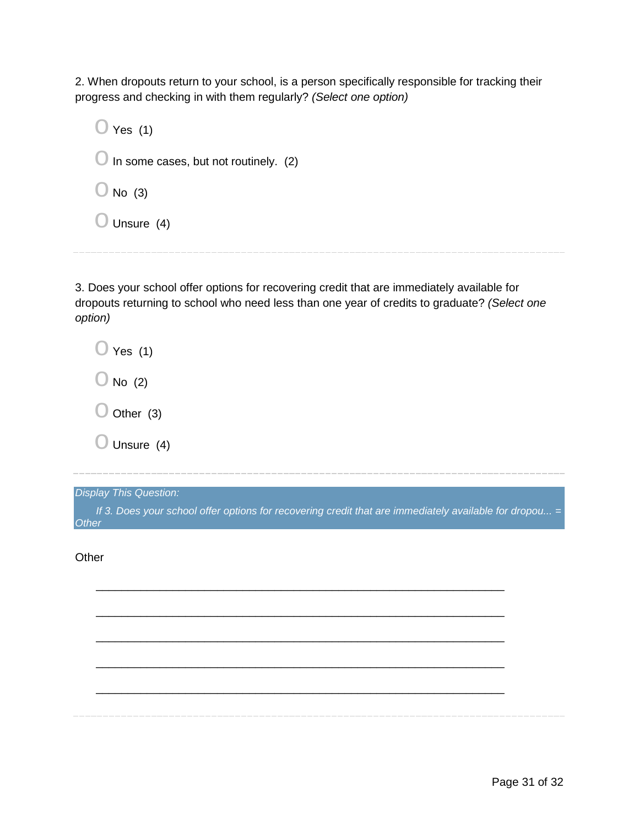2. When dropouts return to your school, is a person specifically responsible for tracking their progress and checking in with them regularly? *(Select one option)*

 $\bigcirc$  Yes (1)  $\bigcirc$  In some cases, but not routinely. (2)  $\bigcirc$  No (3)  $\bigcirc$  Unsure (4)

3. Does your school offer options for recovering credit that are immediately available for dropouts returning to school who need less than one year of credits to graduate? *(Select one option)*

 $\bigcirc$  Yes (1)  $\bigcirc$  No (2)  $\bigcirc$  Other (3)  $\bigcirc$  Unsure (4)

*Display This Question:*

*If 3. Does your school offer options for recovering credit that are immediately available for dropou...* = *Other*

\_\_\_\_\_\_\_\_\_\_\_\_\_\_\_\_\_\_\_\_\_\_\_\_\_\_\_\_\_\_\_\_\_\_\_\_\_\_\_\_\_\_\_\_\_\_\_\_\_\_\_\_\_\_\_\_\_\_\_\_\_\_\_\_

\_\_\_\_\_\_\_\_\_\_\_\_\_\_\_\_\_\_\_\_\_\_\_\_\_\_\_\_\_\_\_\_\_\_\_\_\_\_\_\_\_\_\_\_\_\_\_\_\_\_\_\_\_\_\_\_\_\_\_\_\_\_\_\_

\_\_\_\_\_\_\_\_\_\_\_\_\_\_\_\_\_\_\_\_\_\_\_\_\_\_\_\_\_\_\_\_\_\_\_\_\_\_\_\_\_\_\_\_\_\_\_\_\_\_\_\_\_\_\_\_\_\_\_\_\_\_\_\_

\_\_\_\_\_\_\_\_\_\_\_\_\_\_\_\_\_\_\_\_\_\_\_\_\_\_\_\_\_\_\_\_\_\_\_\_\_\_\_\_\_\_\_\_\_\_\_\_\_\_\_\_\_\_\_\_\_\_\_\_\_\_\_\_

\_\_\_\_\_\_\_\_\_\_\_\_\_\_\_\_\_\_\_\_\_\_\_\_\_\_\_\_\_\_\_\_\_\_\_\_\_\_\_\_\_\_\_\_\_\_\_\_\_\_\_\_\_\_\_\_\_\_\_\_\_\_\_\_

**Other**